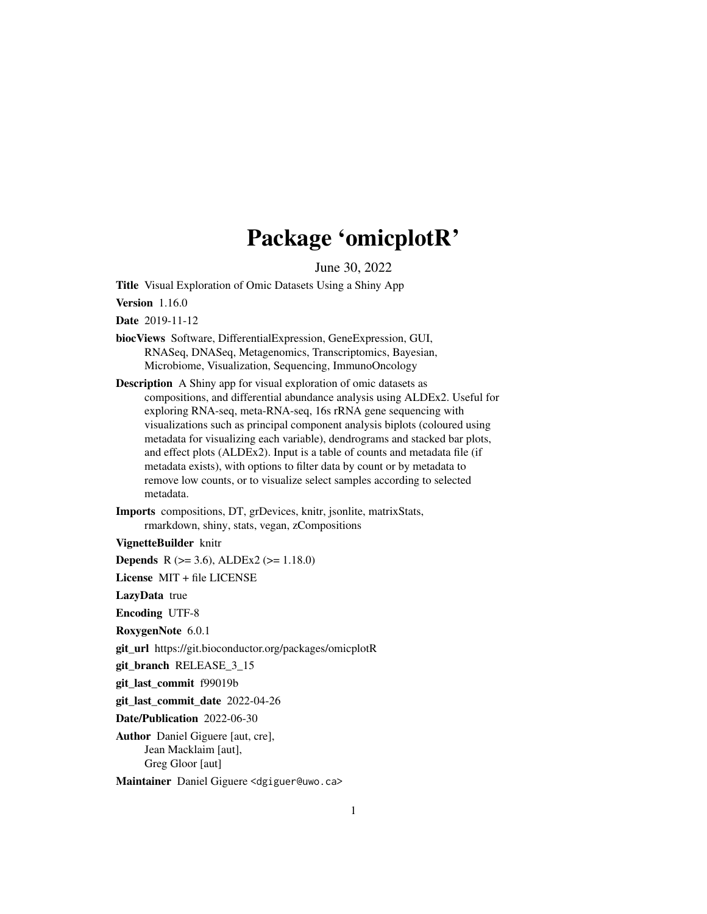## Package 'omicplotR'

June 30, 2022

Title Visual Exploration of Omic Datasets Using a Shiny App

Version 1.16.0

Date 2019-11-12

biocViews Software, DifferentialExpression, GeneExpression, GUI, RNASeq, DNASeq, Metagenomics, Transcriptomics, Bayesian, Microbiome, Visualization, Sequencing, ImmunoOncology

Description A Shiny app for visual exploration of omic datasets as compositions, and differential abundance analysis using ALDEx2. Useful for exploring RNA-seq, meta-RNA-seq, 16s rRNA gene sequencing with visualizations such as principal component analysis biplots (coloured using metadata for visualizing each variable), dendrograms and stacked bar plots, and effect plots (ALDEx2). Input is a table of counts and metadata file (if metadata exists), with options to filter data by count or by metadata to remove low counts, or to visualize select samples according to selected metadata.

Imports compositions, DT, grDevices, knitr, jsonlite, matrixStats, rmarkdown, shiny, stats, vegan, zCompositions

VignetteBuilder knitr

**Depends** R  $(>= 3.6)$ , ALDEx2  $(>= 1.18.0)$ 

License MIT + file LICENSE

LazyData true

Encoding UTF-8

RoxygenNote 6.0.1

git\_url https://git.bioconductor.org/packages/omicplotR

git\_branch RELEASE\_3\_15

git\_last\_commit f99019b

git\_last\_commit\_date 2022-04-26

Date/Publication 2022-06-30

Author Daniel Giguere [aut, cre], Jean Macklaim [aut], Greg Gloor [aut]

Maintainer Daniel Giguere <dgiguer@uwo.ca>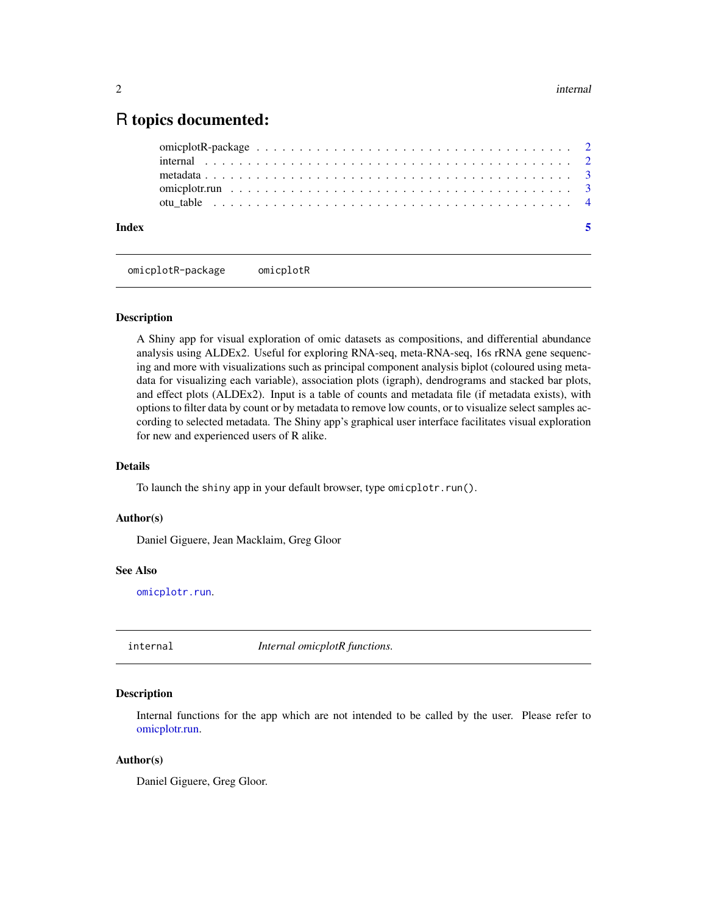### <span id="page-1-0"></span>R topics documented:

| Index |  |  |  |  |  |  |  |  |  |  |  |  |  |  |  |  |  |
|-------|--|--|--|--|--|--|--|--|--|--|--|--|--|--|--|--|--|
|       |  |  |  |  |  |  |  |  |  |  |  |  |  |  |  |  |  |
|       |  |  |  |  |  |  |  |  |  |  |  |  |  |  |  |  |  |
|       |  |  |  |  |  |  |  |  |  |  |  |  |  |  |  |  |  |
|       |  |  |  |  |  |  |  |  |  |  |  |  |  |  |  |  |  |
|       |  |  |  |  |  |  |  |  |  |  |  |  |  |  |  |  |  |

omicplotR-package omicplotR

#### Description

A Shiny app for visual exploration of omic datasets as compositions, and differential abundance analysis using ALDEx2. Useful for exploring RNA-seq, meta-RNA-seq, 16s rRNA gene sequencing and more with visualizations such as principal component analysis biplot (coloured using metadata for visualizing each variable), association plots (igraph), dendrograms and stacked bar plots, and effect plots (ALDEx2). Input is a table of counts and metadata file (if metadata exists), with options to filter data by count or by metadata to remove low counts, or to visualize select samples according to selected metadata. The Shiny app's graphical user interface facilitates visual exploration for new and experienced users of R alike.

#### Details

To launch the shiny app in your default browser, type omicplotr.run().

#### Author(s)

Daniel Giguere, Jean Macklaim, Greg Gloor

#### See Also

[omicplotr.run](#page-2-1).

internal *Internal omicplotR functions.*

#### **Description**

Internal functions for the app which are not intended to be called by the user. Please refer to [omicplotr.run.](#page-2-1)

#### Author(s)

Daniel Giguere, Greg Gloor.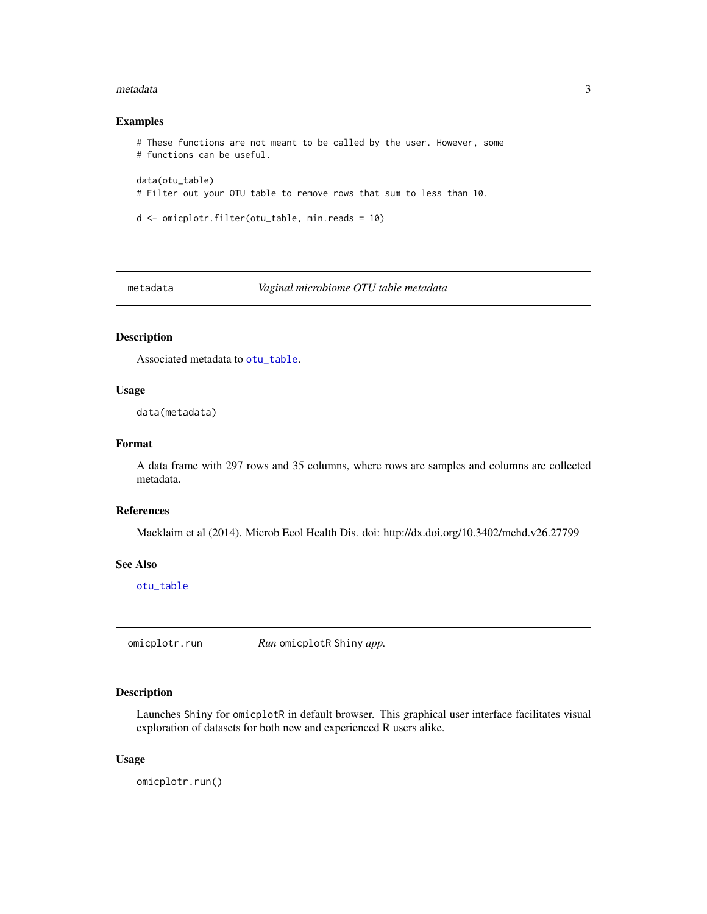#### <span id="page-2-0"></span>metadata 3

#### Examples

```
# These functions are not meant to be called by the user. However, some
# functions can be useful.
data(otu_table)
# Filter out your OTU table to remove rows that sum to less than 10.
d <- omicplotr.filter(otu_table, min.reads = 10)
```
<span id="page-2-2"></span>

metadata *Vaginal microbiome OTU table metadata*

#### Description

Associated metadata to [otu\\_table](#page-3-1).

#### Usage

data(metadata)

#### Format

A data frame with 297 rows and 35 columns, where rows are samples and columns are collected metadata.

#### References

Macklaim et al (2014). Microb Ecol Health Dis. doi: http://dx.doi.org/10.3402/mehd.v26.27799

#### See Also

[otu\\_table](#page-3-1)

<span id="page-2-1"></span>omicplotr.run *Run* omicplotR Shiny *app.*

#### Description

Launches Shiny for omicplotR in default browser. This graphical user interface facilitates visual exploration of datasets for both new and experienced R users alike.

#### Usage

omicplotr.run()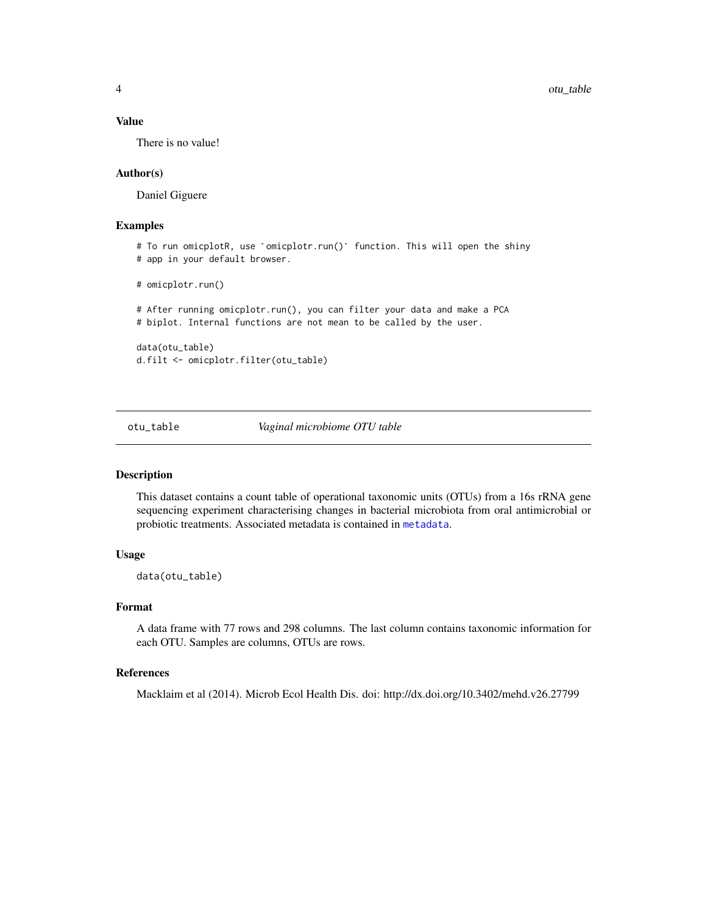#### <span id="page-3-0"></span>Value

There is no value!

#### Author(s)

Daniel Giguere

#### Examples

```
# To run omicplotR, use `omicplotr.run()` function. This will open the shiny
# app in your default browser.
```

```
# omicplotr.run()
```
# After running omicplotr.run(), you can filter your data and make a PCA # biplot. Internal functions are not mean to be called by the user.

data(otu\_table) d.filt <- omicplotr.filter(otu\_table)

<span id="page-3-1"></span>otu\_table *Vaginal microbiome OTU table*

#### **Description**

This dataset contains a count table of operational taxonomic units (OTUs) from a 16s rRNA gene sequencing experiment characterising changes in bacterial microbiota from oral antimicrobial or probiotic treatments. Associated metadata is contained in [metadata](#page-2-2).

#### Usage

data(otu\_table)

#### Format

A data frame with 77 rows and 298 columns. The last column contains taxonomic information for each OTU. Samples are columns, OTUs are rows.

#### References

Macklaim et al (2014). Microb Ecol Health Dis. doi: http://dx.doi.org/10.3402/mehd.v26.27799